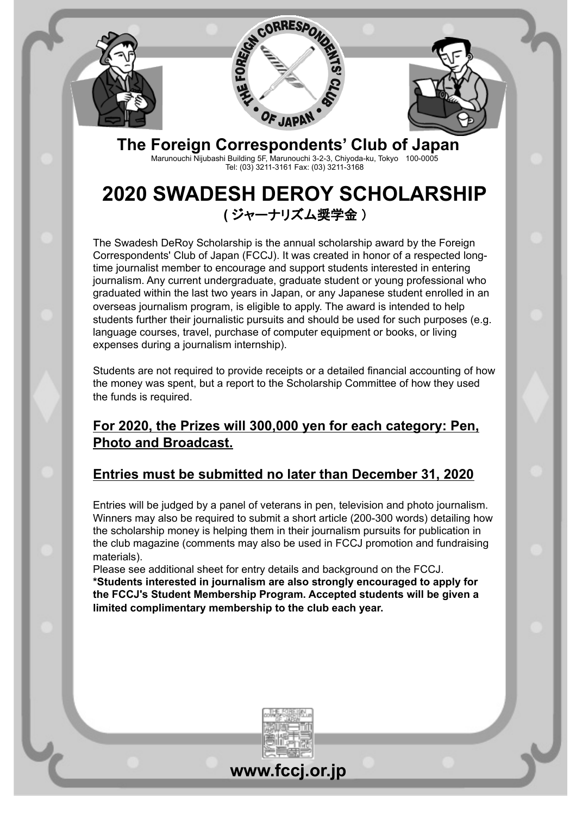



**The Foreign Correspondents' Club of Japan** Marunouchi Nijubashi Building 5F, Marunouchi 3-2-3, Chiyoda-ku, Tokyo 100-0005 Tel: (03) 3211-3161 Fax: (03) 3211-3168

# **2020 SWADESH DEROY SCHOLARSHIP (** ジャーナリズム奨学金 )

The Swadesh DeRoy Scholarship is the annual scholarship award by the Foreign Correspondents' Club of Japan (FCCJ). It was created in honor of a respected longtime journalist member to encourage and support students interested in entering journalism. Any current undergraduate, graduate student or young professional who graduated within the last two years in Japan, or any Japanese student enrolled in an overseas journalism program, is eligible to apply. The award is intended to help students further their journalistic pursuits and should be used for such purposes (e.g. language courses, travel, purchase of computer equipment or books, or living expenses during a journalism internship).

Students are not required to provide receipts or a detailed financial accounting of how the money was spent, but a report to the Scholarship Committee of how they used the funds is required.

### **For 2020, the Prizes will 300,000 yen for each category: Pen, Photo and Broadcast.**

## **Entries must be submitted no later than December 31, 2020**

Entries will be judged by a panel of veterans in pen, television and photo journalism. Winners may also be required to submit a short article (200-300 words) detailing how the scholarship money is helping them in their journalism pursuits for publication in the club magazine (comments may also be used in FCCJ promotion and fundraising materials).

Please see additional sheet for entry details and background on the FCCJ. **\*Students interested in journalism are also strongly encouraged to apply for the FCCJ's Student Membership Program. Accepted students will be given a limited complimentary membership to the club each year.** 

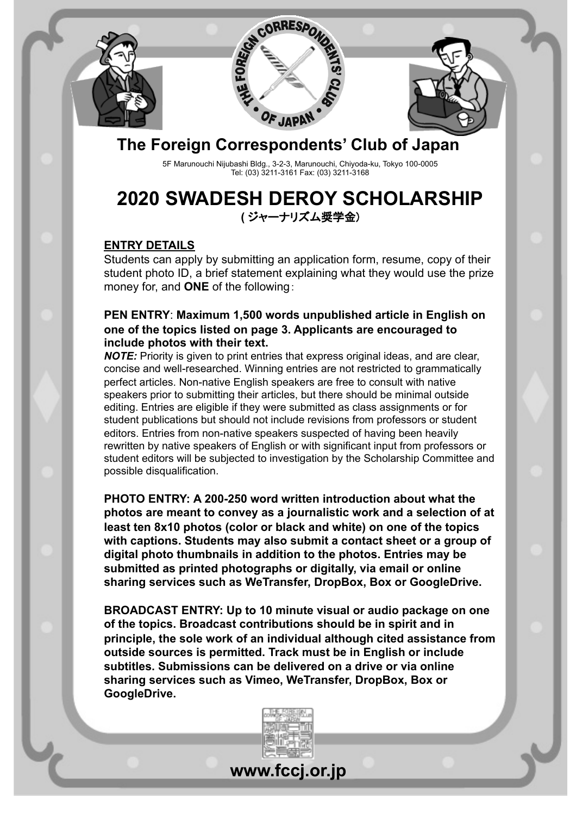



## **The Foreign Correspondents' Club of Japan**

5F Marunouchi Nijubashi Bldg., 3-2-3, Marunouchi, Chiyoda-ku, Tokyo 100-0005 Tel: (03) 3211-3161 Fax: (03) 3211-3168

## **2020 SWADESH DEROY SCHOLARSHIP (** ジャーナリズム奨学金)

#### **ENTRY DETAILS**

Students can apply by submitting an application form, resume, copy of their student photo ID, a brief statement explaining what they would use the prize money for, and **ONE** of the following: 

#### **PEN ENTRY**: **Maximum 1,500 words unpublished article in English on one of the topics listed on page 3. Applicants are encouraged to include photos with their text.**

*NOTE:* Priority is given to print entries that express original ideas, and are clear, concise and well-researched. Winning entries are not restricted to grammatically perfect articles. Non-native English speakers are free to consult with native speakers prior to submitting their articles, but there should be minimal outside editing. Entries are eligible if they were submitted as class assignments or for student publications but should not include revisions from professors or student editors. Entries from non-native speakers suspected of having been heavily rewritten by native speakers of English or with significant input from professors or student editors will be subjected to investigation by the Scholarship Committee and possible disqualification.

**PHOTO ENTRY: A 200-250 word written introduction about what the photos are meant to convey as a journalistic work and a selection of at least ten 8x10 photos (color or black and white) on one of the topics with captions. Students may also submit a contact sheet or a group of digital photo thumbnails in addition to the photos. Entries may be submitted as printed photographs or digitally, via email or online sharing services such as WeTransfer, DropBox, Box or GoogleDrive.** 

**BROADCAST ENTRY: Up to 10 minute visual or audio package on one of the topics. Broadcast contributions should be in spirit and in principle, the sole work of an individual although cited assistance from outside sources is permitted. Track must be in English or include subtitles. Submissions can be delivered on a drive or via online sharing services such as Vimeo, WeTransfer, DropBox, Box or GoogleDrive.** 



**www.fccj.or.jp**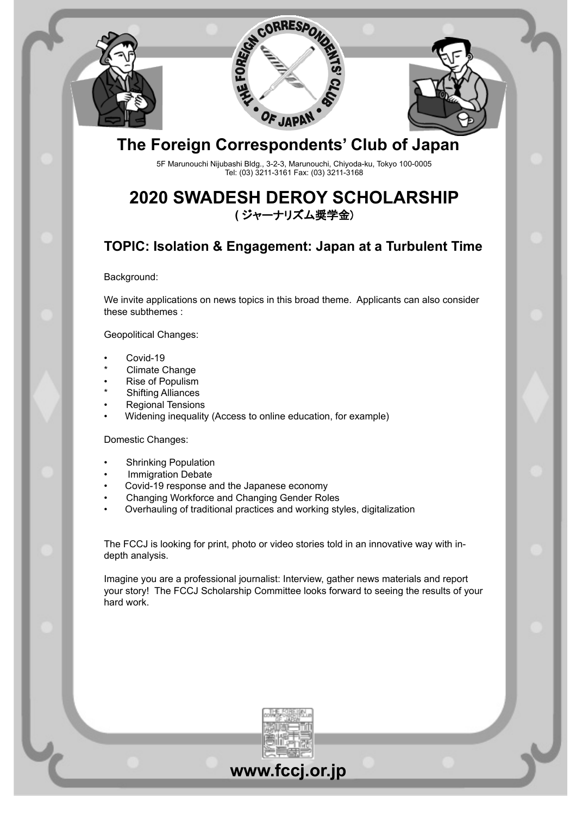



## **The Foreign Correspondents' Club of Japan**

5F Marunouchi Nijubashi Bldg., 3-2-3, Marunouchi, Chiyoda-ku, Tokyo 100-0005 Tel: (03) 3211-3161 Fax: (03) 3211-3168

## **2020 SWADESH DEROY SCHOLARSHIP (** ジャーナリズム奨学金)

## **TOPIC: Isolation & Engagement: Japan at a Turbulent Time**

Background:

We invite applications on news topics in this broad theme. Applicants can also consider these subthemes :

Geopolitical Changes:

- Covid-19
- Climate Change
- Rise of Populism
- **Shifting Alliances**
- Regional Tensions
- Widening inequality (Access to online education, for example)

#### Domestic Changes:

- **Shrinking Population**
- **Immigration Debate**
- Covid-19 response and the Japanese economy
- Changing Workforce and Changing Gender Roles
- Overhauling of traditional practices and working styles, digitalization

The FCCJ is looking for print, photo or video stories told in an innovative way with indepth analysis.

Imagine you are a professional journalist: Interview, gather news materials and report your story! The FCCJ Scholarship Committee looks forward to seeing the results of your hard work.



# **www.fccj.or.jp**